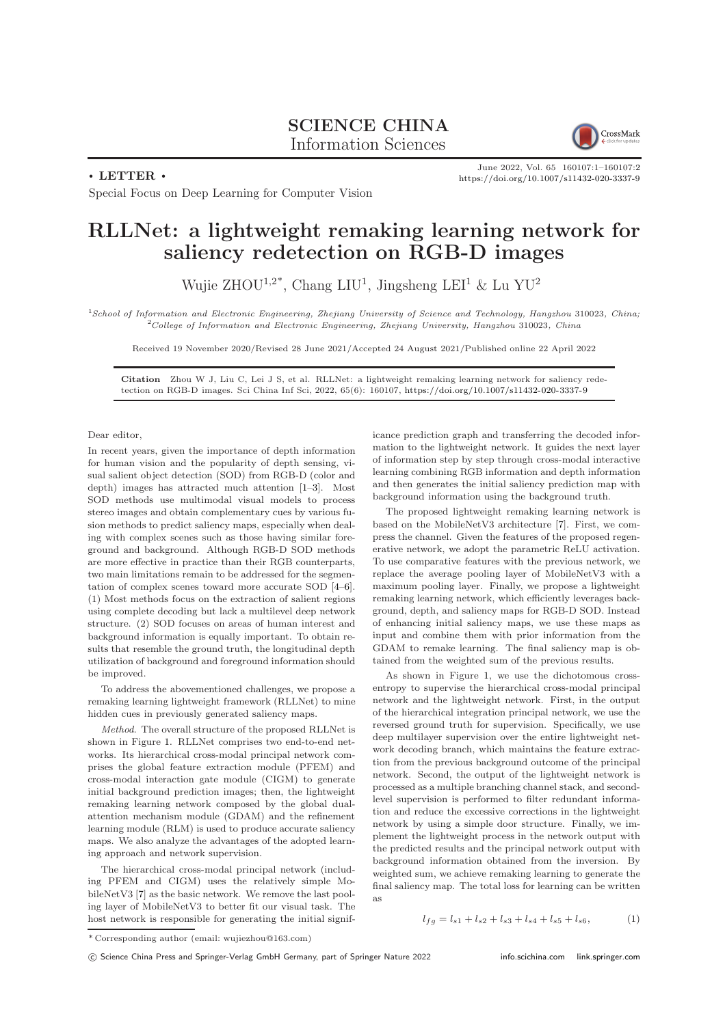## SCIENCE CHINA Information Sciences



 $\cdot$  LETTER  $\cdot$ 

June 2022, Vol. 65 160107:1–160107[:2](#page-1-0) <https://doi.org/10.1007/s11432-020-3337-9>

Special Focus on Deep Learning for Computer Vision

## RLLNet: a lightweight remaking learning network for saliency redetection on RGB-D images

Wujie ZHOU<sup>1,2\*</sup>, Chang LIU<sup>1</sup>, Jingsheng LEI<sup>1</sup> & Lu YU<sup>2</sup>

<sup>1</sup>School of Information and Electronic Engineering, Zhejiang University of Science and Technology, Hangzhou 310023, China;  $^{2}$ College of Information and Electronic Engineering, Zhejiang University, Hangzhou 310023, China

Received 19 November 2020/Revised 28 June 2021/Accepted 24 August 2021/Published online 22 April 2022

Citation Zhou W J, Liu C, Lei J S, et al. RLLNet: a lightweight remaking learning network for saliency redetection on RGB-D images. Sci China Inf Sci, 2022, 65(6): 160107, <https://doi.org/10.1007/s11432-020-3337-9>

Dear editor,

In recent years, given the importance of depth information for human vision and the popularity of depth sensing, visual salient object detection (SOD) from RGB-D (color and depth) images has attracted much attention [\[1](#page-1-1)[–3\]](#page-1-2). Most SOD methods use multimodal visual models to process stereo images and obtain complementary cues by various fusion methods to predict saliency maps, especially when dealing with complex scenes such as those having similar foreground and background. Although RGB-D SOD methods are more effective in practice than their RGB counterparts, two main limitations remain to be addressed for the segmentation of complex scenes toward more accurate SOD [\[4–](#page-1-3)[6\]](#page-1-4). (1) Most methods focus on the extraction of salient regions using complete decoding but lack a multilevel deep network structure. (2) SOD focuses on areas of human interest and background information is equally important. To obtain results that resemble the ground truth, the longitudinal depth utilization of background and foreground information should be improved.

To address the abovementioned challenges, we propose a remaking learning lightweight framework (RLLNet) to mine hidden cues in previously generated saliency maps.

Method. The overall structure of the proposed RLLNet is shown in Figure [1.](#page-1-5) RLLNet comprises two end-to-end networks. Its hierarchical cross-modal principal network comprises the global feature extraction module (PFEM) and cross-modal interaction gate module (CIGM) to generate initial background prediction images; then, the lightweight remaking learning network composed by the global dualattention mechanism module (GDAM) and the refinement learning module (RLM) is used to produce accurate saliency maps. We also analyze the advantages of the adopted learning approach and network supervision.

The hierarchical cross-modal principal network (including PFEM and CIGM) uses the relatively simple MobileNetV3 [\[7\]](#page-1-6) as the basic network. We remove the last pooling layer of MobileNetV3 to better fit our visual task. The host network is responsible for generating the initial significance prediction graph and transferring the decoded information to the lightweight network. It guides the next layer of information step by step through cross-modal interactive learning combining RGB information and depth information and then generates the initial saliency prediction map with background information using the background truth.

The proposed lightweight remaking learning network is based on the MobileNetV3 architecture [\[7\]](#page-1-6). First, we compress the channel. Given the features of the proposed regenerative network, we adopt the parametric ReLU activation. To use comparative features with the previous network, we replace the average pooling layer of MobileNetV3 with a maximum pooling layer. Finally, we propose a lightweight remaking learning network, which efficiently leverages background, depth, and saliency maps for RGB-D SOD. Instead of enhancing initial saliency maps, we use these maps as input and combine them with prior information from the GDAM to remake learning. The final saliency map is obtained from the weighted sum of the previous results.

As shown in Figure [1,](#page-1-5) we use the dichotomous crossentropy to supervise the hierarchical cross-modal principal network and the lightweight network. First, in the output of the hierarchical integration principal network, we use the reversed ground truth for supervision. Specifically, we use deep multilayer supervision over the entire lightweight network decoding branch, which maintains the feature extraction from the previous background outcome of the principal network. Second, the output of the lightweight network is processed as a multiple branching channel stack, and secondlevel supervision is performed to filter redundant information and reduce the excessive corrections in the lightweight network by using a simple door structure. Finally, we implement the lightweight process in the network output with the predicted results and the principal network output with background information obtained from the inversion. By weighted sum, we achieve remaking learning to generate the final saliency map. The total loss for learning can be written as

 $l_{fa} = l_{s1} + l_{s2} + l_{s3} + l_{s4} + l_{s5} + l_{s6},$  (1)

<sup>\*</sup> Corresponding author (email: wujiezhou@163.com)

c Science China Press and Springer-Verlag GmbH Germany, part of Springer Nature 2022 <info.scichina.com><link.springer.com>